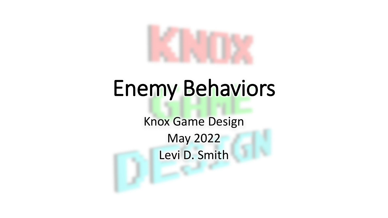

## Enemy Behaviors

Knox Game Design May 2022 Levi D. Smith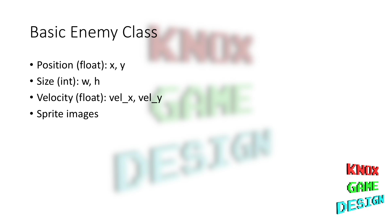## Basic Enemy Class

- Position (float): x, y
- Size (int): w, h
- Velocity (float): vel\_x, vel\_y
- Sprite images

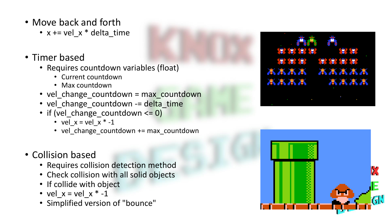- Move back and forth
	- $x == vel x * delta_time$
- Timer based
	- Requires countdown variables (float)
		- Current countdown
		- Max countdown
	- vel\_change\_countdown = max\_countdown
	- vel\_change\_countdown -= delta\_time
	- if (vel\_change\_countdown <= 0)
		- vel\_ $x = vel_x * -1$
		- vel\_change\_countdown += max\_countdown
- Collision based
	- Requires collision detection method
	- Check collision with all solid objects
	- If collide with object
	- vel  $x = vel x * -1$
	- Simplified version of "bounce"



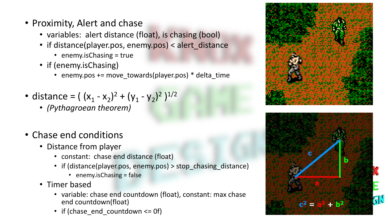- Proximity, Alert and chase
	- variables: alert distance (float), is chasing (bool)
	- if distance(player.pos, enemy.pos) < alert\_distance
		- enemy.isChasing = true
	- if (enemy.isChasing)
		- enemy.pos += move\_towards(player.pos) \* delta\_time
- distance =  $((x_1 x_2)^2 + (y_1 y_2)^2)^{1/2}$ 
	- *(Pythagroean theorem)*
- Chase end conditions
	- Distance from player
		- constant: chase end distance (float)
		- if (distance(player.pos, enemy.pos) > stop\_chasing\_distance)
			- enemy.isChasing = false
	- Timer based
		- variable: chase end countdown (float), constant: max chase end countdown(float)
		- if (chase\_end\_countdown <= 0f)



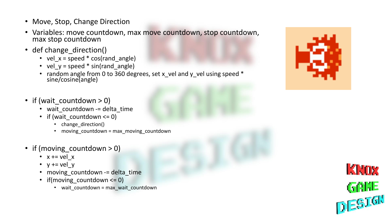- Move, Stop, Change Direction
- Variables: move countdown, max move countdown, stop countdown, max stop countdown
- def change direction()
	- vel\_x = speed  $*$  cos(rand\_angle)
	- vel\_y = speed  $*$  sin(rand\_angle)
	- random angle from 0 to 360 degrees, set x\_vel and y\_vel using speed \* sine/cosine(angle)
- if (wait countdown  $> 0$ )
	- wait countdown -= delta time
	- if (wait countdown  $\leq 0$ )
		- change\_direction()
		- moving countdown = max moving countdown
- if (moving\_countdown > 0)
	- $x == vel x$
	- $y == vel y$
	- moving\_countdown -= delta\_time
	- if(moving countdown  $\leq 0$ )
		- wait\_countdown = max\_wait\_countdown